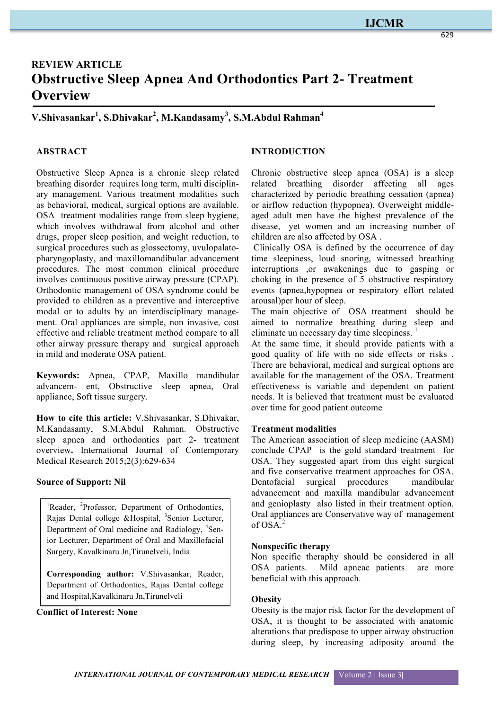# **REVIEW ARTICLE Obstructive Sleep Apnea And Orthodontics Part 2- Treatment Overview**

# **V.Shivasankar1 , S.Dhivakar2 , M.Kandasamy3 , S.M.Abdul Rahman<sup>4</sup>**

### **ABSTRACT**

Obstructive Sleep Apnea is a chronic sleep related breathing disorder requires long term, multi disciplinary management. Various treatment modalities such as behavioral, medical, surgical options are available. OSA treatment modalities range from sleep hygiene, which involves withdrawal from alcohol and other drugs, proper sleep position, and weight reduction, to surgical procedures such as glossectomy, uvulopalatopharyngoplasty, and maxillomandibular advancement procedures. The most common clinical procedure involves continuous positive airway pressure (CPAP). Orthodontic management of OSA syndrome could be provided to children as a preventive and interceptive modal or to adults by an interdisciplinary management. Oral appliances are simple, non invasive, cost effective and reliable treatment method compare to all other airway pressure therapy and surgical approach in mild and moderate OSA patient.

**Keywords:** Apnea, CPAP, Maxillo mandibular advancem- ent, Obstructive sleep apnea, Oral appliance, Soft tissue surgery.

**How to cite this article:** V.Shivasankar, S.Dhivakar, M.Kandasamy, S.M.Abdul Rahman. Obstructive sleep apnea and orthodontics part 2- treatment overview**.** International Journal of Contemporary Medical Research 2015;2(3):629-634

#### **Source of Support: Nil**

<sup>1</sup>Reader, <sup>2</sup>Professor, Department of Orthodontics, Rajas Dental college &Hospital, <sup>3</sup>Senior Lecturer, Department of Oral medicine and Radiology, <sup>4</sup>Senior Lecturer, Department of Oral and Maxillofacial Surgery, Kavalkinaru Jn,Tirunelveli, India

**Corresponding author:** V.Shivasankar, Reader, Department of Orthodontics, Rajas Dental college and Hospital,Kavalkinaru Jn,Tirunelveli

#### **Conflict of Interest: None**

#### **INTRODUCTION**

Chronic obstructive sleep apnea (OSA) is a sleep related breathing disorder affecting all ages characterized by periodic breathing cessation (apnea) or airflow reduction (hypopnea). Overweight middleaged adult men have the highest prevalence of the disease, yet women and an increasing number of children are also affected by OSA .

Clinically OSA is defined by the occurrence of day time sleepiness, loud snoring, witnessed breathing interruptions ,or awakenings due to gasping or choking in the presence of 5 obstructive respiratory events (apnea,hypopnea or respiratory effort related arousal)per hour of sleep.

The main objective of OSA treatment should be aimed to normalize breathing during sleep and eliminate un necessary day time sleepiness.<sup>1</sup>

At the same time, it should provide patients with a good quality of life with no side effects or risks . There are behavioral, medical and surgical options are available for the management of the OSA. Treatment effectiveness is variable and dependent on patient needs. It is believed that treatment must be evaluated over time for good patient outcome

#### **Treatment modalities**

The American association of sleep medicine (AASM) conclude CPAP is the gold standard treatment for OSA. They suggested apart from this eight surgical and five conservative treatment approaches for OSA. Dentofacial surgical procedures mandibular advancement and maxilla mandibular advancement and genioplasty also listed in their treatment option. Oral appliances are Conservative way of management  $of OSA^2$ 

#### **Nonspecific therapy**

Non specific theraphy should be considered in all OSA patients. Mild apneac patients are more beneficial with this approach.

#### **Obesity**

Obesity is the major risk factor for the development of OSA, it is thought to be associated with anatomic alterations that predispose to upper airway obstruction during sleep, by increasing adiposity around the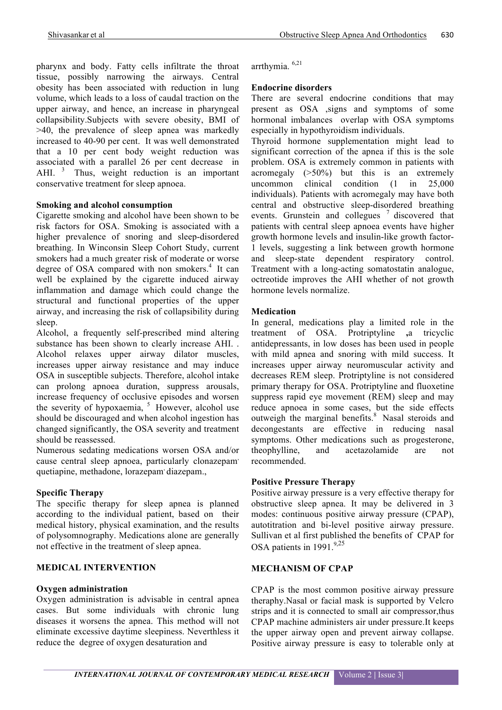pharynx and body. Fatty cells infiltrate the throat tissue, possibly narrowing the airways. Central obesity has been associated with reduction in lung volume, which leads to a loss of caudal traction on the upper airway, and hence, an increase in pharyngeal collapsibility.Subjects with severe obesity, BMI of >40, the prevalence of sleep apnea was markedly increased to 40-90 per cent. It was well demonstrated that a 10 per cent body weight reduction was associated with a parallel 26 per cent decrease in AHI.<sup>3</sup> Thus, weight reduction is an important conservative treatment for sleep apnoea.

#### **Smoking and alcohol consumption**

Cigarette smoking and alcohol have been shown to be risk factors for OSA. Smoking is associated with a higher prevalence of snoring and sleep-disordered breathing. In Winconsin Sleep Cohort Study, current smokers had a much greater risk of moderate or worse degree of OSA compared with non smokers.<sup>4</sup> It can well be explained by the cigarette induced airway inflammation and damage which could change the structural and functional properties of the upper airway, and increasing the risk of collapsibility during sleep.

Alcohol, a frequently self-prescribed mind altering substance has been shown to clearly increase AHI. . Alcohol relaxes upper airway dilator muscles, increases upper airway resistance and may induce OSA in susceptible subjects. Therefore, alcohol intake can prolong apnoea duration, suppress arousals, increase frequency of occlusive episodes and worsen the severity of hypoxaemia,  $5$  However, alcohol use should be discouraged and when alcohol ingestion has changed significantly, the OSA severity and treatment should be reassessed.

Numerous sedating medications worsen OSA and/or cause central sleep apnoea, particularly clonazepam quetiapine, methadone, lorazepam, diazepam.,

#### **Specific Therapy**

The specific therapy for sleep apnea is planned according to the individual patient, based on their medical history, physical examination, and the results of polysomnography. Medications alone are generally not effective in the treatment of sleep apnea.

#### **MEDICAL INTERVENTION**

#### **Oxygen administration**

Oxygen administration is advisable in central apnea cases. But some individuals with chronic lung diseases it worsens the apnea. This method will not eliminate excessive daytime sleepiness. Neverthless it reduce the degree of oxygen desaturation and

arrthymia. 6,21

#### **Endocrine disorders**

There are several endocrine conditions that may present as OSA ,signs and symptoms of some hormonal imbalances overlap with OSA symptoms especially in hypothyroidism individuals.

Thyroid hormone supplementation might lead to significant correction of the apnea if this is the sole problem. OSA is extremely common in patients with acromegaly  $(>50\%)$  but this is an extremely uncommon clinical condition (1 in 25,000 individuals). Patients with acromegaly may have both central and obstructive sleep-disordered breathing events. Grunstein and collegues <sup>7</sup> discovered that patients with central sleep apnoea events have higher growth hormone levels and insulin-like growth factor-1 levels, suggesting a link between growth hormone and sleep-state dependent respiratory control. Treatment with a long-acting somatostatin analogue, octreotide improves the AHI whether of not growth hormone levels normalize.

#### **Medication**

In general, medications play a limited role in the treatment of OSA. Protriptyline **,**a tricyclic antidepressants, in low doses has been used in people with mild apnea and snoring with mild success. It increases upper airway neuromuscular activity and decreases REM sleep. Protriptyline is not considered primary therapy for OSA. Protriptyline and fluoxetine suppress rapid eye movement (REM) sleep and may reduce apnoea in some cases, but the side effects outweigh the marginal benefits.<sup>8</sup> Nasal steroids and decongestants are effective in reducing nasal symptoms. Other medications such as progesterone, theophylline, and acetazolamide are not recommended.

#### **Positive Pressure Therapy**

Positive airway pressure is a very effective therapy for obstructive sleep apnea. It may be delivered in 3 modes: continuous positive airway pressure (CPAP), autotitration and bi-level positive airway pressure. Sullivan et al first published the benefits of CPAP for OSA patients in 1991.<sup>9,25</sup>

#### **MECHANISM OF CPAP**

CPAP is the most common positive airway pressure theraphy.Nasal or facial mask is supported by Velcro strips and it is connected to small air compressor,thus CPAP machine administers air under pressure.It keeps the upper airway open and prevent airway collapse. Positive airway pressure is easy to tolerable only at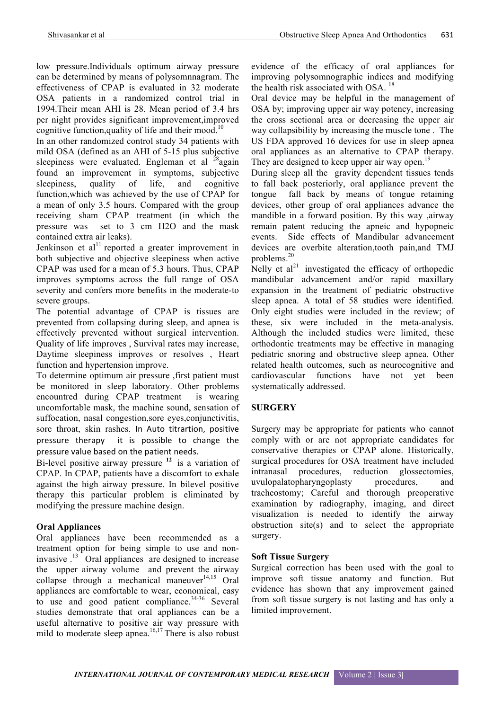low pressure.Individuals optimum airway pressure can be determined by means of polysomnnagram. The effectiveness of CPAP is evaluated in 32 moderate OSA patients in a randomized control trial in 1994.Their mean AHI is 28. Mean period of 3.4 hrs per night provides significant improvement,improved cognitive function,quality of life and their mood.<sup>10</sup>

In an other randomized control study 34 patients with mild OSA (defined as an AHI of 5-15 plus subjective sleepiness were evaluated. Engleman et al  $28$ again found an improvement in symptoms, subjective sleepiness, quality of life, and cognitive function,which was achieved by the use of CPAP for a mean of only 3.5 hours. Compared with the group receiving sham CPAP treatment (in which the pressure was set to 3 cm H2O and the mask contained extra air leaks).

Jenkinson et al $^{11}$  reported a greater improvement in both subjective and objective sleepiness when active CPAP was used for a mean of 5.3 hours. Thus, CPAP improves symptoms across the full range of OSA severity and confers more benefits in the moderate-to severe groups.

The potential advantage of CPAP is tissues are prevented from collapsing during sleep, and apnea is effectively prevented without surgical intervention. Quality of life improves , Survival rates may increase, Daytime sleepiness improves or resolves , Heart function and hypertension improve.

To determine optimum air pressure ,first patient must be monitored in sleep laboratory. Other problems encountred during CPAP treatment is wearing uncomfortable mask, the machine sound, sensation of suffocation, nasal congestion, sore eyes, conjunctivitis, sore throat, skin rashes. In Auto titrartion, positive pressure therapy it is possible to change the pressure value based on the patient needs.

Bi-level positive airway pressure **<sup>12</sup>**is a variation of CPAP. In CPAP, patients have a discomfort to exhale against the high airway pressure. In bilevel positive therapy this particular problem is eliminated by modifying the pressure machine design.

# **Oral Appliances**

Oral appliances have been recommended as a treatment option for being simple to use and noninvasive .13 Oral appliances are designed to increase the upper airway volume and prevent the airway collapse through a mechanical maneuver $14,15$  Oral appliances are comfortable to wear, economical, easy to use and good patient compliance. $34-36$  Several studies demonstrate that oral appliances can be a useful alternative to positive air way pressure with mild to moderate sleep apnea.<sup>16,17</sup> There is also robust evidence of the efficacy of oral appliances for improving polysomnographic indices and modifying the health risk associated with OSA.<sup>18</sup>

Oral device may be helpful in the management of OSA by; improving upper air way potency, increasing the cross sectional area or decreasing the upper air way collapsibility by increasing the muscle tone . The US FDA approved 16 devices for use in sleep apnea oral appliances as an alternative to CPAP therapy. They are designed to keep upper air way open.<sup>19</sup>

During sleep all the gravity dependent tissues tends to fall back posteriorly, oral appliance prevent the tongue fall back by means of tongue retaining devices, other group of oral appliances advance the mandible in a forward position. By this way ,airway remain patent reducing the apneic and hypopneic events. Side effects of Mandibular advancement devices are overbite alteration,tooth pain,and TMJ problems. $20$ 

Nelly et  $al<sup>21</sup>$  investigated the efficacy of orthopedic mandibular advancement and/or rapid maxillary expansion in the treatment of pediatric obstructive sleep apnea. A total of 58 studies were identified. Only eight studies were included in the review; of these, six were included in the meta-analysis. Although the included studies were limited, these orthodontic treatments may be effective in managing pediatric snoring and obstructive sleep apnea. Other related health outcomes, such as neurocognitive and cardiovascular functions have not yet been systematically addressed.

# **SURGERY**

Surgery may be appropriate for patients who cannot comply with or are not appropriate candidates for conservative therapies or CPAP alone. Historically, surgical procedures for OSA treatment have included intranasal procedures, reduction glossectomies, uvulopalatopharyngoplasty procedures, and tracheostomy; Careful and thorough preoperative examination by radiography, imaging, and direct visualization is needed to identify the airway obstruction site(s) and to select the appropriate surgery.

#### **Soft Tissue Surgery**

Surgical correction has been used with the goal to improve soft tissue anatomy and function. But evidence has shown that any improvement gained from soft tissue surgery is not lasting and has only a limited improvement.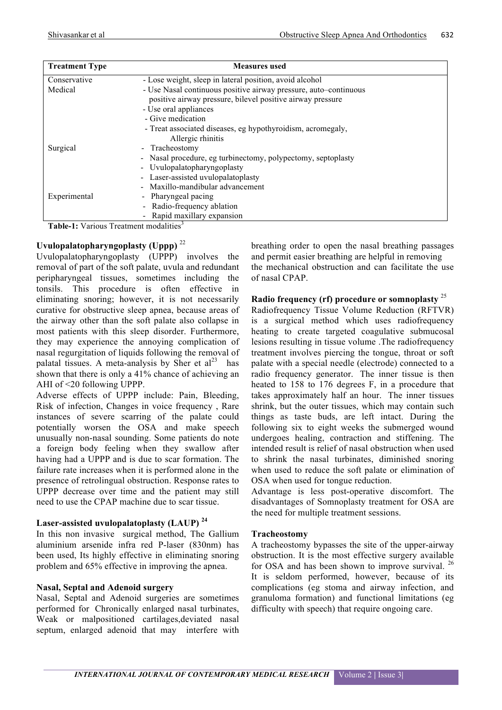| <b>Treatment Type</b> | <b>Measures</b> used                                                                                                           |
|-----------------------|--------------------------------------------------------------------------------------------------------------------------------|
| Conservative          | - Lose weight, sleep in lateral position, avoid alcohol                                                                        |
| Medical               | - Use Nasal continuous positive airway pressure, auto-continuous<br>positive airway pressure, bilevel positive airway pressure |
|                       | - Use oral appliances                                                                                                          |
|                       | - Give medication                                                                                                              |
|                       | - Treat associated diseases, eg hypothyroidism, acromegaly,<br>Allergic rhinitis                                               |
| Surgical              | - Tracheostomy                                                                                                                 |
|                       | - Nasal procedure, eg turbinectomy, polypectomy, septoplasty                                                                   |
|                       | - Uvulopalatopharyngoplasty                                                                                                    |
|                       | - Laser-assisted uvulopalatoplasty                                                                                             |
|                       | Maxillo-mandibular advancement                                                                                                 |
| Experimental          | - Pharyngeal pacing                                                                                                            |
|                       | - Radio-frequency ablation                                                                                                     |
|                       | Rapid maxillary expansion                                                                                                      |

**Table-1:** Various Treatment modalities<sup>3</sup>

# **Uvulopalatopharyngoplasty (Uppp)** <sup>22</sup>

Uvulopalatopharyngoplasty (UPPP) involves the removal of part of the soft palate, uvula and redundant peripharyngeal tissues, sometimes including the tonsils. This procedure is often effective in eliminating snoring; however, it is not necessarily curative for obstructive sleep apnea, because areas of the airway other than the soft palate also collapse in most patients with this sleep disorder. Furthermore, they may experience the annoying complication of nasal regurgitation of liquids following the removal of palatal tissues. A meta-analysis by Sher et  $al<sup>23</sup>$  has shown that there is only a 41% chance of achieving an AHI of <20 following UPPP.

Adverse effects of UPPP include: Pain, Bleeding, Risk of infection, Changes in voice frequency , Rare instances of severe scarring of the palate could potentially worsen the OSA and make speech unusually non-nasal sounding. Some patients do note a foreign body feeling when they swallow after having had a UPPP and is due to scar formation. The failure rate increases when it is performed alone in the presence of retrolingual obstruction. Response rates to UPPP decrease over time and the patient may still need to use the CPAP machine due to scar tissue.

# **Laser-assisted uvulopalatoplasty (LAUP) <sup>24</sup>**

In this non invasive surgical method, The Gallium aluminium arsenide infra red P-laser (830nm) has been used, Its highly effective in eliminating snoring problem and 65% effective in improving the apnea.

#### **Nasal, Septal and Adenoid surgery**

Nasal, Septal and Adenoid surgeries are sometimes performed for Chronically enlarged nasal turbinates, Weak or malpositioned cartilages,deviated nasal septum, enlarged adenoid that may interfere with breathing order to open the nasal breathing passages and permit easier breathing are helpful in removing the mechanical obstruction and can facilitate the use of nasal CPAP.

#### **Radio frequency (rf) procedure or somnoplasty** <sup>25</sup>

Radiofrequency Tissue Volume Reduction (RFTVR) is a surgical method which uses radiofrequency heating to create targeted coagulative submucosal lesions resulting in tissue volume .The radiofrequency treatment involves piercing the tongue, throat or soft palate with a special needle (electrode) connected to a radio frequency generator. The inner tissue is then heated to 158 to 176 degrees F, in a procedure that takes approximately half an hour. The inner tissues shrink, but the outer tissues, which may contain such things as taste buds, are left intact. During the following six to eight weeks the submerged wound undergoes healing, contraction and stiffening. The intended result is relief of nasal obstruction when used to shrink the nasal turbinates, diminished snoring when used to reduce the soft palate or elimination of OSA when used for tongue reduction.

Advantage is less post-operative discomfort. The disadvantages of Somnoplasty treatment for OSA are the need for multiple treatment sessions.

#### **Tracheostomy**

A tracheostomy bypasses the site of the upper-airway obstruction. It is the most effective surgery available for OSA and has been shown to improve survival. <sup>26</sup> It is seldom performed, however, because of its complications (eg stoma and airway infection, and granuloma formation) and functional limitations (eg difficulty with speech) that require ongoing care.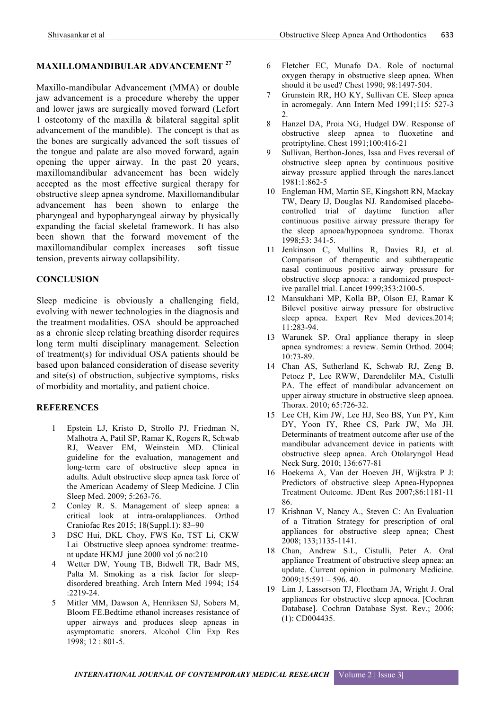# **MAXILLOMANDIBULAR ADVANCEMENT <sup>27</sup>**

Maxillo-mandibular Advancement (MMA) or double jaw advancement is a procedure whereby the upper and lower jaws are surgically moved forward (Lefort 1 osteotomy of the maxilla & bilateral saggital split advancement of the mandible). The concept is that as the bones are surgically advanced the soft tissues of the tongue and palate are also moved forward, again opening the upper airway. In the past 20 years, maxillomandibular advancement has been widely accepted as the most effective surgical therapy for obstructive sleep apnea syndrome. Maxillomandibular advancement has been shown to enlarge the pharyngeal and hypopharyngeal airway by physically expanding the facial skeletal framework. It has also been shown that the forward movement of the maxillomandibular complex increases soft tissue tension, prevents airway collapsibility.

#### **CONCLUSION**

Sleep medicine is obviously a challenging field, evolving with newer technologies in the diagnosis and the treatment modalities. OSA should be approached as a chronic sleep relating breathing disorder requires long term multi disciplinary management. Selection of treatment(s) for individual OSA patients should be based upon balanced consideration of disease severity and site(s) of obstruction, subjective symptoms, risks of morbidity and mortality, and patient choice.

#### **REFERENCES**

- 1 Epstein LJ, Kristo D, Strollo PJ, Friedman N, Malhotra A, Patil SP, Ramar K, Rogers R, Schwab RJ, Weaver EM, Weinstein MD. Clinical guideline for the evaluation, management and long-term care of obstructive sleep apnea in adults. Adult obstructive sleep apnea task force of the American Academy of Sleep Medicine. J Clin Sleep Med. 2009; 5:263-76.
- 2 Conley R. S. Management of sleep apnea: a critical look at intra-oralappliances. Orthod Craniofac Res 2015; 18(Suppl.1): 83–90
- 3 DSC Hui, DKL Choy, FWS Ko, TST Li, CKW Lai Obstructive sleep apnoea syndrome: treatment update HKMJ june 2000 vol ;6 no:210
- 4 Wetter DW, Young TB, Bidwell TR, Badr MS, Palta M. Smoking as a risk factor for sleepdisordered breathing. Arch Intern Med 1994; 154 :2219-24.
- 5 Mitler MM, Dawson A, Henriksen SJ, Sobers M, Bloom FE.Bedtime ethanol increases resistance of upper airways and produces sleep apneas in asymptomatic snorers. Alcohol Clin Exp Res 1998; 12 : 801-5.
- 6 Fletcher EC, Munafo DA. Role of nocturnal oxygen therapy in obstructive sleep apnea. When should it be used? Chest 1990; 98:1497-504.
- 7 Grunstein RR, HO KY, Sullivan CE. Sleep apnea in acromegaly. Ann Intern Med 1991;115: 527-3  $2^{\circ}$
- 8 Hanzel DA, Proia NG, Hudgel DW. Response of obstructive sleep apnea to fluoxetine and protriptyline. Chest 1991;100:416-21
- 9 Sullivan, Berthon-Jones, Issa and Eves reversal of obstructive sleep apnea by continuous positive airway pressure applied through the nares.lancet 1981:1:862-5
- 10 Engleman HM, Martin SE, Kingshott RN, Mackay TW, Deary IJ, Douglas NJ. Randomised placebocontrolled trial of daytime function after continuous positive airway pressure therapy for the sleep apnoea/hypopnoea syndrome. Thorax 1998;53: 341-5.
- 11 Jenkinson C, Mullins R, Davies RJ, et al. Comparison of therapeutic and subtherapeutic nasal continuous positive airway pressure for obstructive sleep apnoea: a randomized prospective parallel trial. Lancet 1999;353:2100-5.
- 12 Mansukhani MP, Kolla BP, Olson EJ, Ramar K Bilevel positive airway pressure for obstructive sleep apnea. Expert Rev Med devices.2014; 11:283-94.
- 13 Warunek SP. Oral appliance therapy in sleep apnea syndromes: a review. Semin Orthod. 2004; 10:73-89.
- 14 Chan AS, Sutherland K, Schwab RJ, Zeng B, Petocz P, Lee RWW, Darendeliler MA, Cistulli PA. The effect of mandibular advancement on upper airway structure in obstructive sleep apnoea. Thorax. 2010; 65:726-32.
- 15 Lee CH, Kim JW, Lee HJ, Seo BS, Yun PY, Kim DY, Yoon IY, Rhee CS, Park JW, Mo JH. Determinants of treatment outcome after use of the mandibular advancement device in patients with obstructive sleep apnea. Arch Otolaryngol Head Neck Surg. 2010; 136:677-81
- 16 Hoekema A, Van der Hoeven JH, Wijkstra P J: Predictors of obstructive sleep Apnea-Hypopnea Treatment Outcome. JDent Res 2007;86:1181-11 86.
- 17 Krishnan V, Nancy A., Steven C: An Evaluation of a Titration Strategy for prescription of oral appliances for obstructive sleep apnea; Chest 2008; 133;1135-1141.
- 18 Chan, Andrew S.L, Cistulli, Peter A. Oral appliance Treatment of obstructive sleep apnea: an update. Current opinion in pulmonary Medicine. 2009;15:591 – 596. 40.
- 19 Lim J, Lasserson TJ, Fleetham JA, Wright J. Oral appliances for obstructive sleep apnoea. [Cochran Database]. Cochran Database Syst. Rev.; 2006; (1): CD004435.